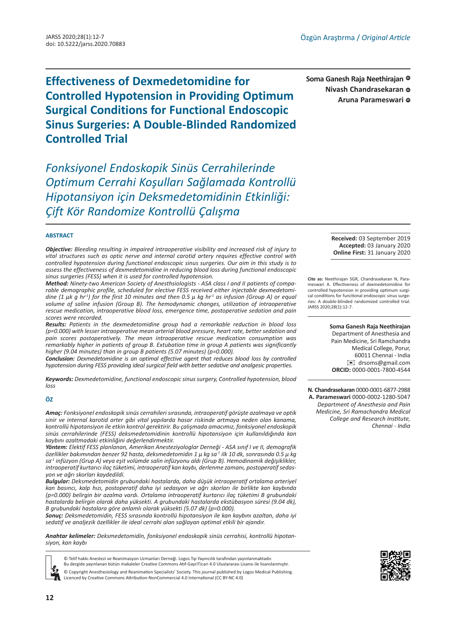**Effectiveness of Dexmedetomidine for Controlled Hypotension in Providing Optimum Surgical Conditions for Functional Endoscopic Sinus Surgeries: A Double-Blinded Randomized Controlled Trial**

*Fonksiyonel Endoskopik Sinüs Cerrahilerinde Optimum Cerrahi Koşulları Sağlamada Kontrollü Hipotansiyon için Deksmedetomidinin Etkinliği: Çift Kör Randomize Kontrollü Çalışma*

#### **ABSTRACT**

*Objective: Bleeding resulting in impaired intraoperative visibility and increased risk of injury to vital structures such as optic nerve and internal carotid artery requires effective control with controlled hypotension during functional endoscopic sinus surgeries. Our aim in this study is to assess the effectiveness of dexmedetomidine in reducing blood loss during functional endoscopic sinus surgeries (FESS) when it is used for controlled hypotension.*

*Method: Ninety-two American Society of Anesthsiologists - ASA class I and II patients of comparable demographic profile, scheduled for elective FESS received either injectable dexmedetomidine (1 μk g hr-1) for the first 10 minutes and then 0.5 μ kg hr-1 as infusion (Group A) or equal volume of saline infusion (Group B). The hemodynamic changes, utilization of intraoperative rescue medication, intraoperative blood loss, emergence time, postoperative sedation and pain scores were recorded.* 

*Results: Patients in the dexmedetomidine group had a remarkable reduction in blood loss (p=0.000) with lesser intraoperative mean arterial blood pressure, heart rate, better sedation and pain scores postoperatively. The mean intraoperative rescue medication consumption was remarkably higher in patients of group B. Extubation time in group A patients was significantly higher (9.04 minutes) than in group B patients (5.07 minutes) (p=0.000).* 

*Conclusion: Dexmedetomidine is an optimal effective agent that reduces blood loss by controlled hypotension during FESS providing ideal surgical field with better sedative and analgesic properties.*

*Keywords: Dexmedetomidine, functional endoscopic sinus surgery, Controlled hypotension, blood loss*

#### **ÖZ**

*Amaç: Fonksiyonel endoskopik sinüs cerrahileri sırasında, intraoperatif görüşte azalmaya ve optik sinir ve internal karotid arter gibi vital yapılarda hasar riskinde artmaya neden olan kanama, kontrollü hipotansiyon ile etkin kontrol gerektirir. Bu çalışmada amacımız, fonksiyonel endoskopik sinüs cerrahilerinde (FESS) deksmedetomidinin kontrollü hipotansiyon için kullanıldığında kan kaybını azaltmadaki etkinliğini değerlendirmektir.*

*Yöntem: Elektif FESS planlanan, Amerikan Anesteziyologlar Derneği - ASA sınıf I ve II, demografik özellikler bakımından benzer 92 hasta, deksmedetomidin 1 μ kg sa-1 ilk 10 dk, sonrasında 0.5 μ kg sa-1 infüzyon (Grup A) veya eşit volümde salin infüzyonu aldı (Grup B). Hemodinamik değişiklikler, intraoperatif kurtarıcı ilaç tüketimi, intraoperatif kan kaybı, derlenme zamanı, postoperatif sedasyon ve ağrı skorları kaydedildi.*

*Bulgular: Deksmedetomidin grubundaki hastalarda, daha düşük intraoperatif ortalama arteriyel kan basıncı, kalp hızı, postoperatif daha iyi sedasyon ve ağrı skorları ile birlikte kan kaybında (p=0.000) belirgin bir azalma vardı. Ortalama intraoperatif kurtarıcı ilaç tüketimi B grubundaki hastalarda belirgin olarak daha yüksekti. A grubundaki hastalarda ekstübasyon süresi (9.04 dk), B grubundaki hastalara göre anlamlı olarak yüksekti (5.07 dk) (p=0.000).*

*Sonuç: Deksmedetomidin, FESS sırasında kontrollü hipotansiyon ile kan kaybını azaltan, daha iyi sedatif ve analjezik özellikler ile ideal cerrahi alan sağlayan optimal etkili bir ajandır.*

*Anahtar kelimeler: Deksmedetomidin, fonksiyonel endoskopik sinüs cerrahisi, kontrollü hipotansiyon, kan kaybı*

© Telif hakkı Anestezi ve Reanimasyon Uzmanları Derneği. Logos Tıp Yayıncılık tarafından yayınlanmaktadır. Bu dergide yayınlanan bütün makaleler Creative Commons Atıf-GayriTicari 4.0 Uluslararası Lisansı ile lisanslanmıştır. © Copyright Anesthesiology and Reanimation Specialists' Society. This journal published by Logos Medical Publishing.

Licenced by Creative Commons Attribution-NonCommercial 4.0 International (CC BY-NC 4.0)

**Soma Ganesh Raja Neethirajan Nivash Chandrasekaran** Aruna Parameswari ©

> **Received:** 03 September 2019 **Accepted:** 03 January 2020 **Online First:** 31 January 2020

**Cite as:** Neethirajan SGR, Chandrasekaran N, Parameswari A. Effectiveness of dexmedetomidine for controlled hypotension in providing optimum surgical conditions for functional endoscopic sinus surgeries: A double-blinded randomized controlled trial. JARSS 2020;28(1):12-7.

**Soma Ganesh Raja Neethirajan** 

Department of Anesthesia and Pain Medicine, Sri Ramchandra Medical College, Porur, 60011 Chennai - India [✉](mailto:drsoms@gmail.com) drsoms@gmail.com **ORCID:** 0000-0001-7800-4544

**N. Chandrasekaran** 0000-0001-6877-2988 **A. Parameswari** 0000-0002-1280-5047 *Department of Anesthesia and Pain Medicine, Sri Ramachandra Medical College and Research Institute, Chennai - India*

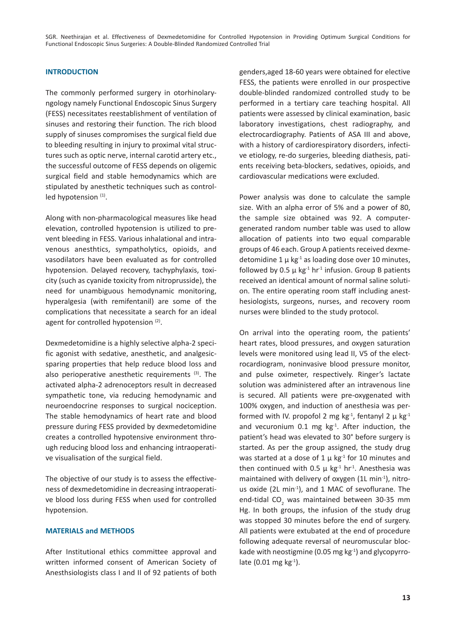SGR. Neethirajan et al. Effectiveness of Dexmedetomidine for Controlled Hypotension in Providing Optimum Surgical Conditions for Functional Endoscopic Sinus Surgeries: A Double-Blinded Randomized Controlled Trial

# **INTRODUCTION**

The commonly performed surgery in otorhinolaryngology namely Functional Endoscopic Sinus Surgery (FESS) necessitates reestablishment of ventilation of sinuses and restoring their function. The rich blood supply of sinuses compromises the surgical field due to bleeding resulting in injury to proximal vital structures such as optic nerve, internal carotid artery etc., the successful outcome of FESS depends on oligemic surgical field and stable hemodynamics which are stipulated by anesthetic techniques such as controlled hypotension (1).

Along with non-pharmacological measures like head elevation, controlled hypotension is utilized to prevent bleeding in FESS. Various inhalational and intravenous anesthtics, sympatholytics, opioids, and vasodilators have been evaluated as for controlled hypotension. Delayed recovery, tachyphylaxis, toxicity (such as cyanide toxicity from nitroprusside), the need for unambiguous hemodynamic monitoring, hyperalgesia (with remifentanil) are some of the complications that necessitate a search for an ideal agent for controlled hypotension<sup>(2)</sup>.

Dexmedetomidine is a highly selective alpha-2 specific agonist with sedative, anesthetic, and analgesicsparing properties that help reduce blood loss and also perioperative anesthetic requirements  $(3)$ . The activated alpha-2 adrenoceptors result in decreased sympathetic tone, via reducing hemodynamic and neuroendocrine responses to surgical nociception. The stable hemodynamics of heart rate and blood pressure during FESS provided by dexmedetomidine creates a controlled hypotensive environment through reducing blood loss and enhancing intraoperative visualisation of the surgical field.

The objective of our study is to assess the effectiveness of dexmedetomidine in decreasing intraoperative blood loss during FESS when used for controlled hypotension.

### **MATERIALS and METHODS**

After Institutional ethics committee approval and written informed consent of American Society of Anesthsiologists class I and II of 92 patients of both genders,aged 18-60 years were obtained for elective FESS, the patients were enrolled in our prospective double-blinded randomized controlled study to be performed in a tertiary care teaching hospital. All patients were assessed by clinical examination, basic laboratory investigations, chest radiography, and electrocardiography. Patients of ASA III and above, with a history of cardiorespiratory disorders, infective etiology, re-do surgeries, bleeding diathesis, patients receiving beta-blockers, sedatives, opioids, and cardiovascular medications were excluded.

Power analysis was done to calculate the sample size. With an alpha error of 5% and a power of 80, the sample size obtained was 92. A computergenerated random number table was used to allow allocation of patients into two equal comparable groups of 46 each. Group A patients received dexmedetomidine 1  $\mu$  kg<sup>-1</sup> as loading dose over 10 minutes, followed by 0.5  $\mu$  kg<sup>-1</sup> hr<sup>-1</sup> infusion. Group B patients received an identical amount of normal saline solution. The entire operating room staff including anesthesiologists, surgeons, nurses, and recovery room nurses were blinded to the study protocol.

On arrival into the operating room, the patients' heart rates, blood pressures, and oxygen saturation levels were monitored using lead II, V5 of the electrocardiogram, noninvasive blood pressure monitor, and pulse oximeter, respectively. Ringer's lactate solution was administered after an intravenous line is secured. All patients were pre-oxygenated with 100% oxygen, and induction of anesthesia was performed with IV. propofol 2 mg kg<sup>-1</sup>, fentanyl 2  $\mu$  kg<sup>-1</sup> and vecuronium  $0.1$  mg kg $^{-1}$ . After induction, the patient's head was elevated to 30° before surgery is started. As per the group assigned, the study drug was started at a dose of  $1 \mu$  kg<sup>-1</sup> for 10 minutes and then continued with 0.5  $\mu$  kg<sup>-1</sup> hr<sup>-1</sup>. Anesthesia was maintained with delivery of oxygen  $(1L \text{ min}^{-1})$ , nitrous oxide (2L min<sup>-1</sup>), and 1 MAC of sevoflurane. The end-tidal CO<sub>2</sub> was maintained between 30-35 mm Hg. In both groups, the infusion of the study drug was stopped 30 minutes before the end of surgery. All patients were extubated at the end of procedure following adequate reversal of neuromuscular blockade with neostigmine (0.05 mg kg-1) and glycopyrrolate  $(0.01 \text{ mg kg}^{-1})$ .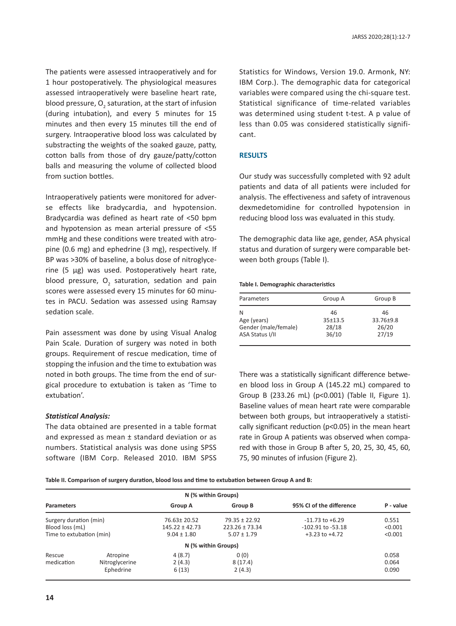The patients were assessed intraoperatively and for 1 hour postoperatively. The physiological measures assessed intraoperatively were baseline heart rate, blood pressure,  $O_2$  saturation, at the start of infusion (during intubation), and every 5 minutes for 15 minutes and then every 15 minutes till the end of surgery. Intraoperative blood loss was calculated by substracting the weights of the soaked gauze, patty, cotton balls from those of dry gauze/patty/cotton balls and measuring the volume of collected blood from suction bottles.

Intraoperatively patients were monitored for adverse effects like bradycardia, and hypotension. Bradycardia was defined as heart rate of <50 bpm and hypotension as mean arterial pressure of <55 mmHg and these conditions were treated with atropine (0.6 mg) and ephedrine (3 mg), respectively. If BP was >30% of baseline, a bolus dose of nitroglycerine (5 µg) was used. Postoperatively heart rate, blood pressure,  $O_2$  saturation, sedation and pain scores were assessed every 15 minutes for 60 minutes in PACU. Sedation was assessed using Ramsay sedation scale.

Pain assessment was done by using Visual Analog Pain Scale. Duration of surgery was noted in both groups. Requirement of rescue medication, time of stopping the infusion and the time to extubation was noted in both groups. The time from the end of surgical procedure to extubation is taken as 'Time to extubation'.

### *Statistical Analysis:*

The data obtained are presented in a table format and expressed as mean ± standard deviation or as numbers. Statistical analysis was done using SPSS software (IBM Corp. Released 2010. IBM SPSS

Statistics for Windows, Version 19.0. Armonk, NY: IBM Corp.). The demographic data for categorical variables were compared using the chi-square test. Statistical significance of time-related variables was determined using student t-test. A p value of less than 0.05 was considered statistically significant.

## **RESULTS**

Our study was successfully completed with 92 adult patients and data of all patients were included for analysis. The effectiveness and safety of intravenous dexmedetomidine for controlled hypotension in reducing blood loss was evaluated in this study.

The demographic data like age, gender, ASA physical status and duration of surgery were comparable between both groups (Table I).

#### **Table I. Demographic characteristics**

| Parameters           | Group A | Group B   |
|----------------------|---------|-----------|
| N                    | 46      | 46        |
| Age (years)          | 35±13.5 | 33.76±9.8 |
| Gender (male/female) | 28/18   | 26/20     |
| ASA Status I/II      | 36/10   | 27/19     |

There was a statistically significant difference between blood loss in Group A (145.22 mL) compared to Group B (233.26 mL) (p<0.001) (Table II, Figure 1). Baseline values of mean heart rate were comparable between both groups, but intraoperatively a statistically significant reduction (p<0.05) in the mean heart rate in Group A patients was observed when compared with those in Group B after 5, 20, 25, 30, 45, 60, 75, 90 minutes of infusion (Figure 2).

**Table II. Comparison of surgery duration, blood loss and time to extubation between Group A and B:** 

|                                                                       |                                         |                                                      | N (% within Groups)                                        |                                                                    |                             |
|-----------------------------------------------------------------------|-----------------------------------------|------------------------------------------------------|------------------------------------------------------------|--------------------------------------------------------------------|-----------------------------|
| <b>Parameters</b>                                                     |                                         | <b>Group A</b>                                       | Group B                                                    | 95% CI of the difference                                           | P - value                   |
| Surgery duration (min)<br>Blood loss (mL)<br>Time to extubation (min) |                                         | 76.63 ± 20.52<br>$145.22 + 42.73$<br>$9.04 \pm 1.80$ | $79.35 \pm 22.92$<br>$223.26 \pm 73.34$<br>$5.07 \pm 1.79$ | $-11.73$ to $+6.29$<br>$-102.91$ to $-53.18$<br>$+3.23$ to $+4.72$ | 0.551<br>< 0.001<br>< 0.001 |
|                                                                       |                                         |                                                      | N (% within Groups)                                        |                                                                    |                             |
| Rescue<br>medication                                                  | Atropine<br>Nitroglycerine<br>Ephedrine | 4(8.7)<br>2(4.3)<br>6(13)                            | 0(0)<br>8(17.4)<br>2(4.3)                                  |                                                                    | 0.058<br>0.064<br>0.090     |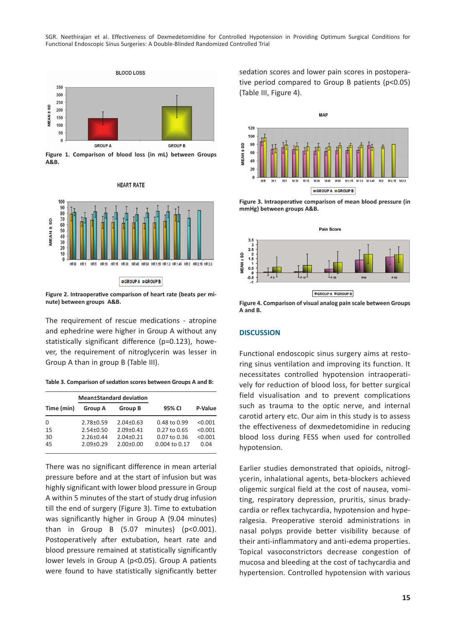SGR. Neethirajan et al. Effectiveness of Dexmedetomidine for Controlled Hypotension in Providing Optimum Surgical Conditions for Functional Endoscopic Sinus Surgeries: A Double-Blinded Randomized Controlled Trial



**Figure 1. Comparison of blood loss (in mL) between Groups A&B.**



**Figure 2. Intraoperative comparison of heart rate (beats per minute) between groups A&B. Figure 4. Comparison of visual analog pain scale between Groups** 

The requirement of rescue medications - atropine and ephedrine were higher in Group A without any statistically significant difference (p=0.123), however, the requirement of nitroglycerin was lesser in Group A than in group B (Table III).

**Table 3. Comparison of sedation scores between Groups A and B:** 

|            |                 | <b>Mean</b> ±Standard deviation |                   |         |
|------------|-----------------|---------------------------------|-------------------|---------|
| Time (min) | <b>Group A</b>  | Group B                         | 95% CI            | P-Value |
| $\Omega$   | $2.78 + 0.59$   | $2.04 \pm 0.63$                 | $0.48$ to $0.99$  | < 0.001 |
| 15         | $2.54 + 0.50$   | $2.09 + 0.41$                   | $0.27$ to $0.65$  | < 0.001 |
| 30         | $2.26 \pm 0.44$ | $2.04 \pm 0.21$                 | $0.07$ to $0.36$  | < 0.001 |
| 45         | $2.09 + 0.29$   | $2.00+0.00$                     | $0.004$ to $0.17$ | 0.04    |

There was no significant difference in mean arterial pressure before and at the start of infusion but was highly significant with lower blood pressure in Group A within 5 minutes of the start of study drug infusion till the end of surgery (Figure 3). Time to extubation was significantly higher in Group A (9.04 minutes) than in Group B  $(5.07 \text{ minutes})$   $(p<0.001)$ . Postoperatively after extubation, heart rate and blood pressure remained at statistically significantly lower levels in Group A (p<0.05). Group A patients were found to have statistically significantly better

sedation scores and lower pain scores in postoperative period compared to Group B patients (p<0.05) (Table III, Figure 4).



**Figure 3. Intraoperative comparison of mean blood pressure (in mmHg) between groups A&B.**



**A and B.**

# **DISCUSSION**

Functional endoscopic sinus surgery aims at restoring sinus ventilation and improving its function. It necessitates controlled hypotension intraoperatively for reduction of blood loss, for better surgical field visualisation and to prevent complications such as trauma to the optic nerve, and internal carotid artery etc. Our aim in this study is to assess the effectiveness of dexmedetomidine in reducing blood loss during FESS when used for controlled hypotension.

Earlier studies demonstrated that opioids, nitroglycerin, inhalational agents, beta-blockers achieved oligemic surgical field at the cost of nausea, vomiting, respiratory depression, pruritis, sinus bradycardia or reflex tachycardia, hypotension and hyperalgesia. Preoperative steroid administrations in nasal polyps provide better visibility because of their anti-inflammatory and anti-edema properties. Topical vasoconstrictors decrease congestion of mucosa and bleeding at the cost of tachycardia and hypertension. Controlled hypotension with various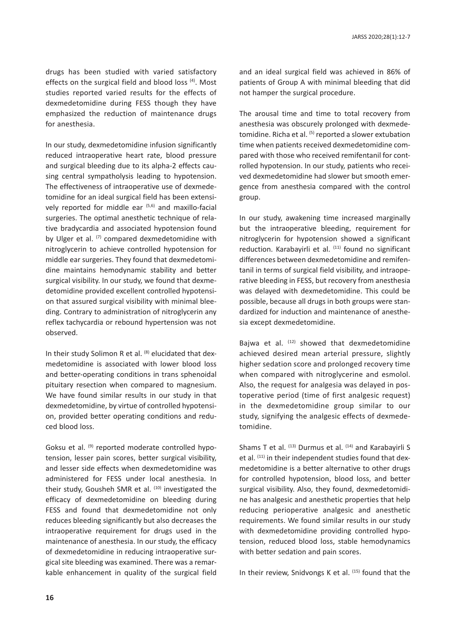drugs has been studied with varied satisfactory effects on the surgical field and blood loss (4). Most studies reported varied results for the effects of dexmedetomidine during FESS though they have emphasized the reduction of maintenance drugs for anesthesia.

In our study, dexmedetomidine infusion significantly reduced intraoperative heart rate, blood pressure and surgical bleeding due to its alpha-2 effects causing central sympatholysis leading to hypotension. The effectiveness of intraoperative use of dexmedetomidine for an ideal surgical field has been extensively reported for middle ear (5,6) and maxillo-facial surgeries. The optimal anesthetic technique of relative bradycardia and associated hypotension found by Ulger et al. (7) compared dexmedetomidine with nitroglycerin to achieve controlled hypotension for middle ear surgeries. They found that dexmedetomidine maintains hemodynamic stability and better surgical visibility. In our study, we found that dexmedetomidine provided excellent controlled hypotension that assured surgical visibility with minimal bleeding. Contrary to administration of nitroglycerin any reflex tachycardia or rebound hypertension was not observed.

In their study Solimon R et al. (8) elucidated that dexmedetomidine is associated with lower blood loss and better-operating conditions in trans sphenoidal pituitary resection when compared to magnesium. We have found similar results in our study in that dexmedetomidine, by virtue of controlled hypotension, provided better operating conditions and reduced blood loss.

Goksu et al. (9) reported moderate controlled hypotension, lesser pain scores, better surgical visibility, and lesser side effects when dexmedetomidine was administered for FESS under local anesthesia. In their study, Gousheh SMR et al. (10) investigated the efficacy of dexmedetomidine on bleeding during FESS and found that dexmedetomidine not only reduces bleeding significantly but also decreases the intraoperative requirement for drugs used in the maintenance of anesthesia. In our study, the efficacy of dexmedetomidine in reducing intraoperative surgical site bleeding was examined. There was a remarkable enhancement in quality of the surgical field and an ideal surgical field was achieved in 86% of patients of Group A with minimal bleeding that did not hamper the surgical procedure.

The arousal time and time to total recovery from anesthesia was obscurely prolonged with dexmedetomidine. Richa et al. <sup>(5)</sup> reported a slower extubation time when patients received dexmedetomidine compared with those who received remifentanil for controlled hypotension. In our study, patients who received dexmedetomidine had slower but smooth emergence from anesthesia compared with the control group.

In our study, awakening time increased marginally but the intraoperative bleeding, requirement for nitroglycerin for hypotension showed a significant reduction. Karabayirli et al.  $(11)$  found no significant differences between dexmedetomidine and remifentanil in terms of surgical field visibility, and intraoperative bleeding in FESS, but recovery from anesthesia was delayed with dexmedetomidine. This could be possible, because all drugs in both groups were standardized for induction and maintenance of anesthesia except dexmedetomidine.

Bajwa et al.  $(12)$  showed that dexmedetomidine achieved desired mean arterial pressure, slightly higher sedation score and prolonged recovery time when compared with nitroglycerine and esmolol. Also, the request for analgesia was delayed in postoperative period (time of first analgesic request) in the dexmedetomidine group similar to our study, signifying the analgesic effects of dexmedetomidine.

Shams T et al. <sup>(13)</sup> Durmus et al. <sup>(14)</sup> and Karabayirli S et al. (11) in their independent studies found that dexmedetomidine is a better alternative to other drugs for controlled hypotension, blood loss, and better surgical visibility. Also, they found, dexmedetomidine has analgesic and anesthetic properties that help reducing perioperative analgesic and anesthetic requirements. We found similar results in our study with dexmedetomidine providing controlled hypotension, reduced blood loss, stable hemodynamics with better sedation and pain scores.

In their review, Snidvongs K et al. (15) found that the